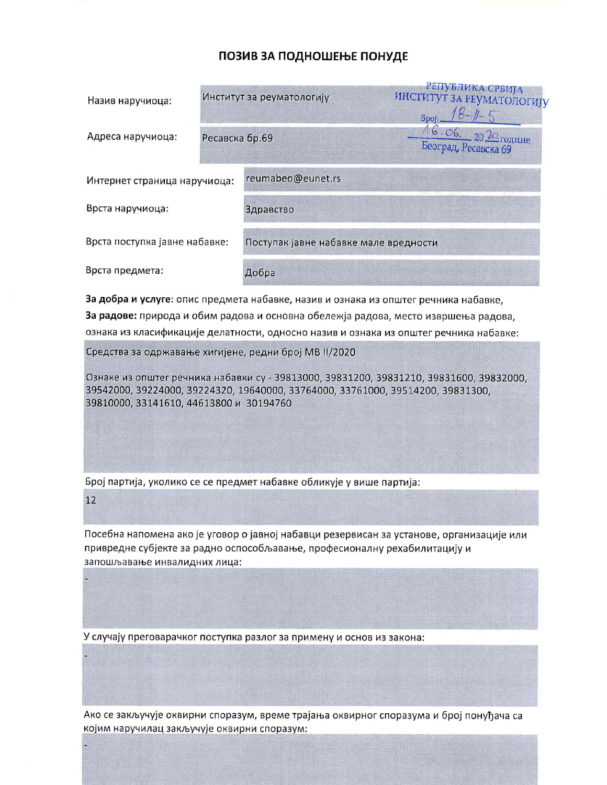## ПОЗИВ ЗА ПОДНОШЕЊЕ ПОНУДЕ

| Назив наручиоца:              |                | Институт за реуматологију             | РЕПУБЛИКА СРБИЈА<br>ИНСТИТУТ ЗА РЕУМАТОЛОГИЈУ<br><b>Spoj:</b> |  |
|-------------------------------|----------------|---------------------------------------|---------------------------------------------------------------|--|
| Адреса наручиоца:             | Ресавска бр.69 |                                       | $16.06.202$ rogume<br>Београд, Ресавска 69                    |  |
| Интернет страница наручиоца:  |                | reumabeo@eunet.rs                     |                                                               |  |
| Врста наручиоца:              |                | Здравство                             |                                                               |  |
| Врста поступка јавне набавке: |                | Поступак јавне набавке мале вредности |                                                               |  |
| Врста предмета:               |                | Добра                                 |                                                               |  |

За добра и услуге: опис предмета набавке, назив и ознака из општег речника набавке, За радове: природа и обим радова и основна обележја радова, место извршења радова, ознака из класификације делатности, односно назив и ознака из општег речника набавке:

Средства за одржавање хигијене, редни број МВ II/2020

Ознаке из општег речника набавки су - 39813000, 39831200, 39831210, 39831600, 39832000, 39542000, 39224000, 39224320, 19640000, 33764000, 33761000, 39514200, 39831300, 39810000, 33141610, 44613800 и 30194760

Број партија, уколико се се предмет набавке обликује у више партија:

12

Посебна напомена ако је уговор о јавној набавци резервисан за установе, организације или привредне субјекте за радно оспособљавање, професионалну рехабилитацију и запошљавање инвалидних лица:

У случају преговарачког поступка разлог за примену и основ из закона:

Ако се закључује оквирни споразум, време трајања оквирног споразума и број понуђача са којим наручилац закључује оквирни споразум: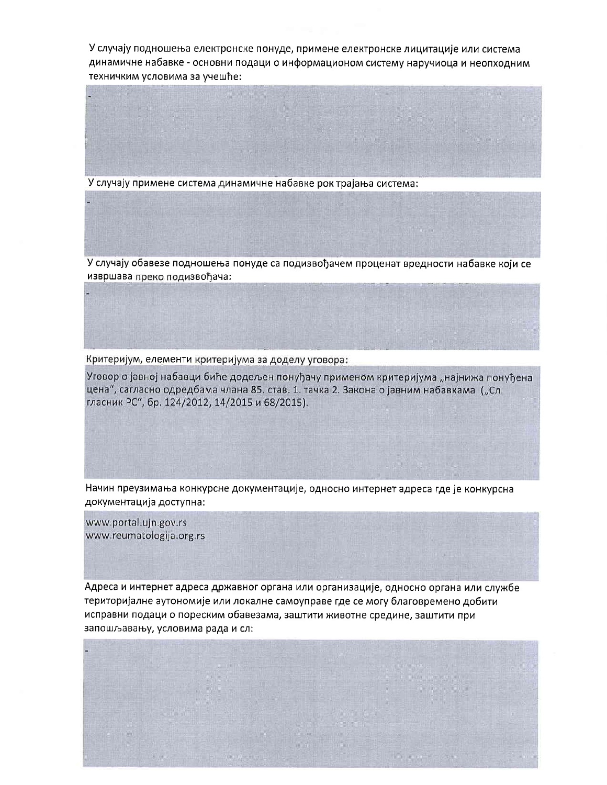У случају подношења електронске понуде, примене електронске лицитације или система динамичне набавке - основни подаци о информационом систему наручиоца и неопходним техничким условима за учешће:

У случају примене система динамичне набавке рок трајања система:

У случају обавезе подношења понуде са подизвођачем проценат вредности набавке који се извршава преко подизвођача:

Критеријум, елементи критеријума за доделу уговора:

Уговор о јавној набавци биће додељен понуђачу применом критеријума "најнижа понуђена цена", сагласно одредбама члана 85. став. 1. тачка 2. Закона о јавним набавкама ("Сл. гласник РС", бр. 124/2012, 14/2015 и 68/2015).

Начин преузимања конкурсне документације, односно интернет адреса где је конкурсна документација доступна:

www.portal.ujn.gov.rs www.reumatologija.org.rs

Адреса и интернет адреса државног органа или организације, односно органа или службе територијалне аутономије или локалне самоуправе где се могу благовремено добити исправни подаци о пореским обавезама, заштити животне средине, заштити при запошљавању, условима рада и сл: